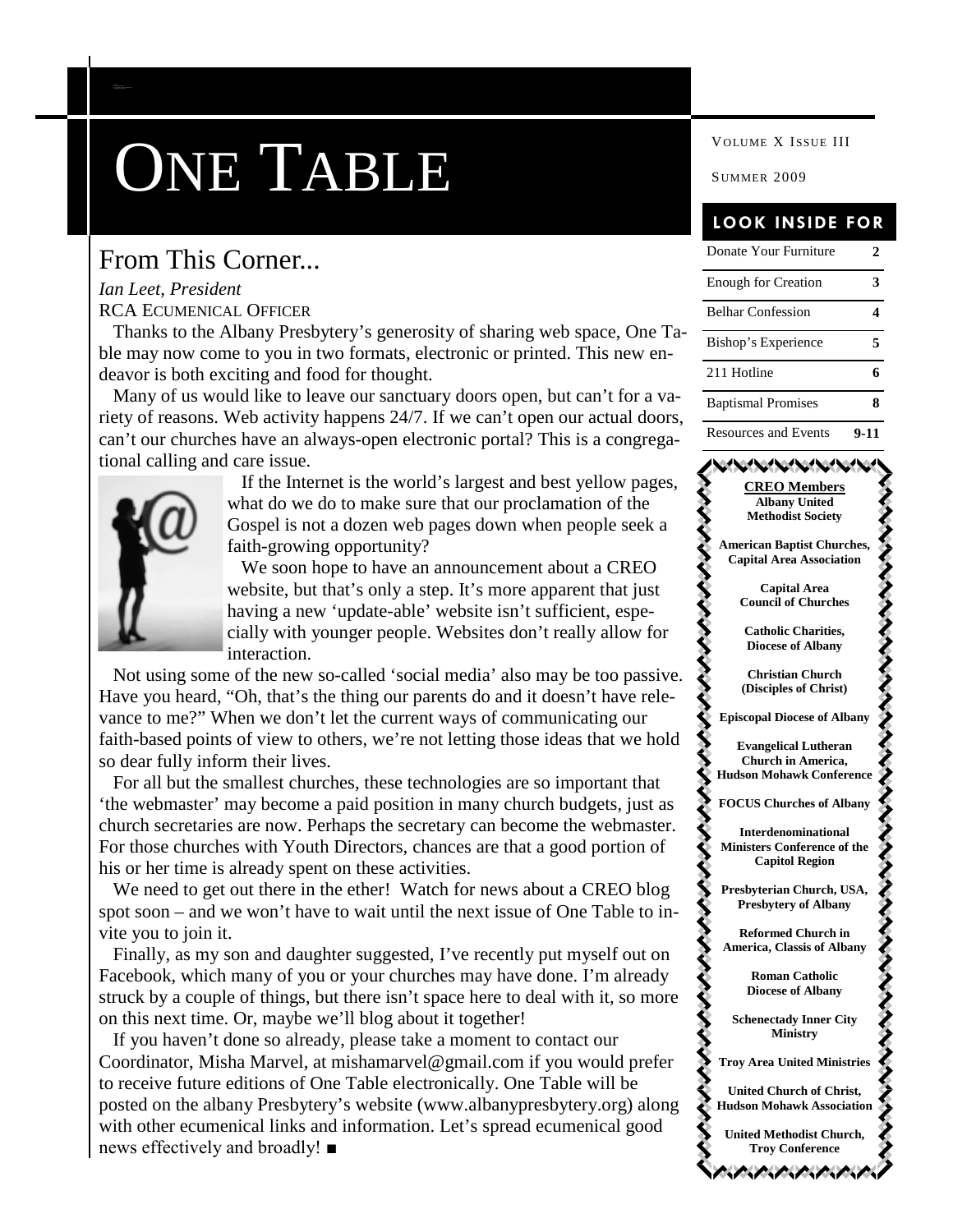# **ONE TABLE** SUMMER 2009

### From This Corner...

#### *Ian Leet, President* RCA ECUMENICAL OFFICER

*C AP ITAL REG ION E C UMEN ICA L ORGA NIZA TION*

Thanks to the Albany Presbytery's generosity of sharing web space, One Table may now come to you in two formats, electronic or printed. This new endeavor is both exciting and food for thought.

Many of us would like to leave our sanctuary doors open, but can't for a variety of reasons. Web activity happens 24/7. If we can't open our actual doors, can't our churches have an always-open electronic portal? This is a congregational calling and care issue.



If the Internet is the world's largest and best yellow pages, what do we do to make sure that our proclamation of the Gospel is not a dozen web pages down when people seek a faith-growing opportunity?

We soon hope to have an announcement about a CREO website, but that's only a step. It's more apparent that just having a new 'update-able' website isn't sufficient, especially with younger people. Websites don't really allow for interaction.

Not using some of the new so-called 'social media' also may be too passive. Have you heard, "Oh, that's the thing our parents do and it doesn't have relevance to me?" When we don't let the current ways of communicating our faith-based points of view to others, we're not letting those ideas that we hold so dear fully inform their lives.

For all but the smallest churches, these technologies are so important that 'the webmaster' may become a paid position in many church budgets, just as church secretaries are now. Perhaps the secretary can become the webmaster. For those churches with Youth Directors, chances are that a good portion of his or her time is already spent on these activities.

We need to get out there in the ether! Watch for news about a CREO blog spot soon – and we won't have to wait until the next issue of One Table to invite you to join it.

Finally, as my son and daughter suggested, I've recently put myself out on Facebook, which many of you or your churches may have done. I'm already struck by a couple of things, but there isn't space here to deal with it, so more on this next time. Or, maybe we'll blog about it together!

If you haven't done so already, please take a moment to contact our Coordinator, Misha Marvel, at mishamarvel@gmail.com if you would prefer to receive future editions of One Table electronically. One Table will be posted on the albany Presbytery's website (www.albanypresbytery.org) along with other ecumenical links and information. Let's spread ecumenical good news effectively and broadly! ■

#### **LOOK INSIDE FOR**

| Donate Your Furniture       | $\mathcal{D}_{\mathcal{L}}$ |
|-----------------------------|-----------------------------|
| <b>Enough for Creation</b>  |                             |
| <b>Belhar Confession</b>    |                             |
| Bishop's Experience         | 5                           |
| 211 Hotline                 |                             |
| <b>Baptismal Promises</b>   | я                           |
| <b>Resources and Events</b> | $9-11$                      |

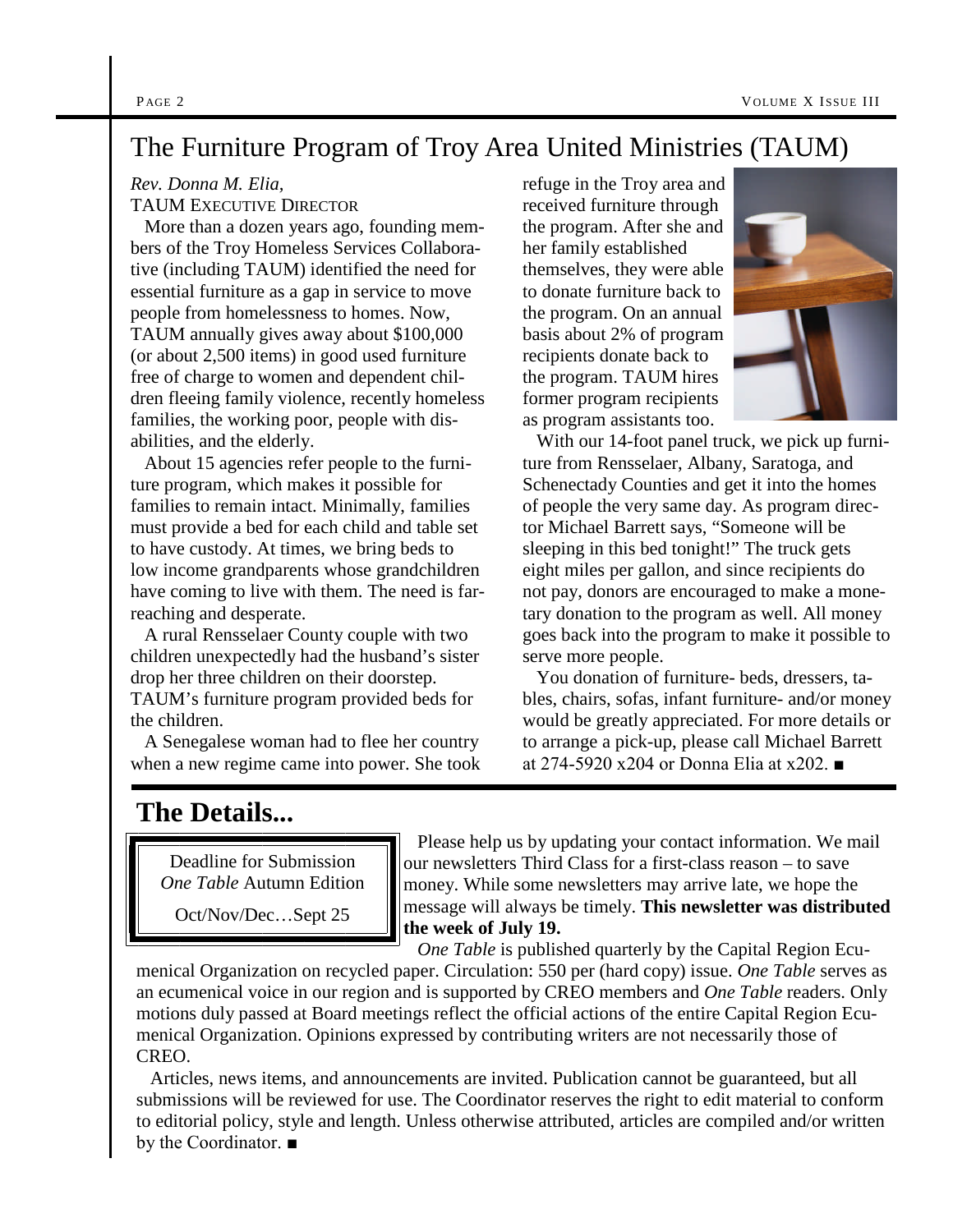### The Furniture Program of Troy Area United Ministries (TAUM)

#### *Rev. Donna M. Elia,*

TAUM EXECUTIVE DIRECTOR

More than a dozen years ago, founding members of the Troy Homeless Services Collaborative (including TAUM) identified the need for essential furniture as a gap in service to move people from homelessness to homes. Now, TAUM annually gives away about \$100,000 (or about 2,500 items) in good used furniture free of charge to women and dependent children fleeing family violence, recently homeless families, the working poor, people with disabilities, and the elderly.

About 15 agencies refer people to the furniture program, which makes it possible for families to remain intact. Minimally, families must provide a bed for each child and table set to have custody. At times, we bring beds to low income grandparents whose grandchildren have coming to live with them. The need is farreaching and desperate.

A rural Rensselaer County couple with two children unexpectedly had the husband's sister drop her three children on their doorstep. TAUM's furniture program provided beds for the children.

A Senegalese woman had to flee her country when a new regime came into power. She took refuge in the Troy area and received furniture through the program. After she and her family established themselves, they were able to donate furniture back to the program. On an annual basis about 2% of program recipients donate back to the program. TAUM hires former program recipients as program assistants too.



With our 14-foot panel truck, we pick up furniture from Rensselaer, Albany, Saratoga, and Schenectady Counties and get it into the homes of people the very same day. As program director Michael Barrett says, "Someone will be sleeping in this bed tonight!" The truck gets eight miles per gallon, and since recipients do not pay, donors are encouraged to make a monetary donation to the program as well. All money goes back into the program to make it possible to serve more people.

You donation of furniture- beds, dressers, tables, chairs, sofas, infant furniture- and/or money would be greatly appreciated. For more details or to arrange a pick-up, please call Michael Barrett at 274-5920 x204 or Donna Elia at x202. ■

### **The Details...**

Deadline for Submission *One Table* Autumn Edition

Oct/Nov/Dec…Sept 25

Please help us by updating your contact information. We mail our newsletters Third Class for a first-class reason – to save money. While some newsletters may arrive late, we hope the message will always be timely. **This newsletter was distributed the week of July 19.**

*One Table* is published quarterly by the Capital Region Ecu-

menical Organization on recycled paper. Circulation: 550 per (hard copy) issue. *One Table* serves as an ecumenical voice in our region and is supported by CREO members and *One Table* readers. Only motions duly passed at Board meetings reflect the official actions of the entire Capital Region Ecumenical Organization. Opinions expressed by contributing writers are not necessarily those of CREO.

Articles, news items, and announcements are invited. Publication cannot be guaranteed, but all submissions will be reviewed for use. The Coordinator reserves the right to edit material to conform to editorial policy, style and length. Unless otherwise attributed, articles are compiled and/or written by the Coordinator. ■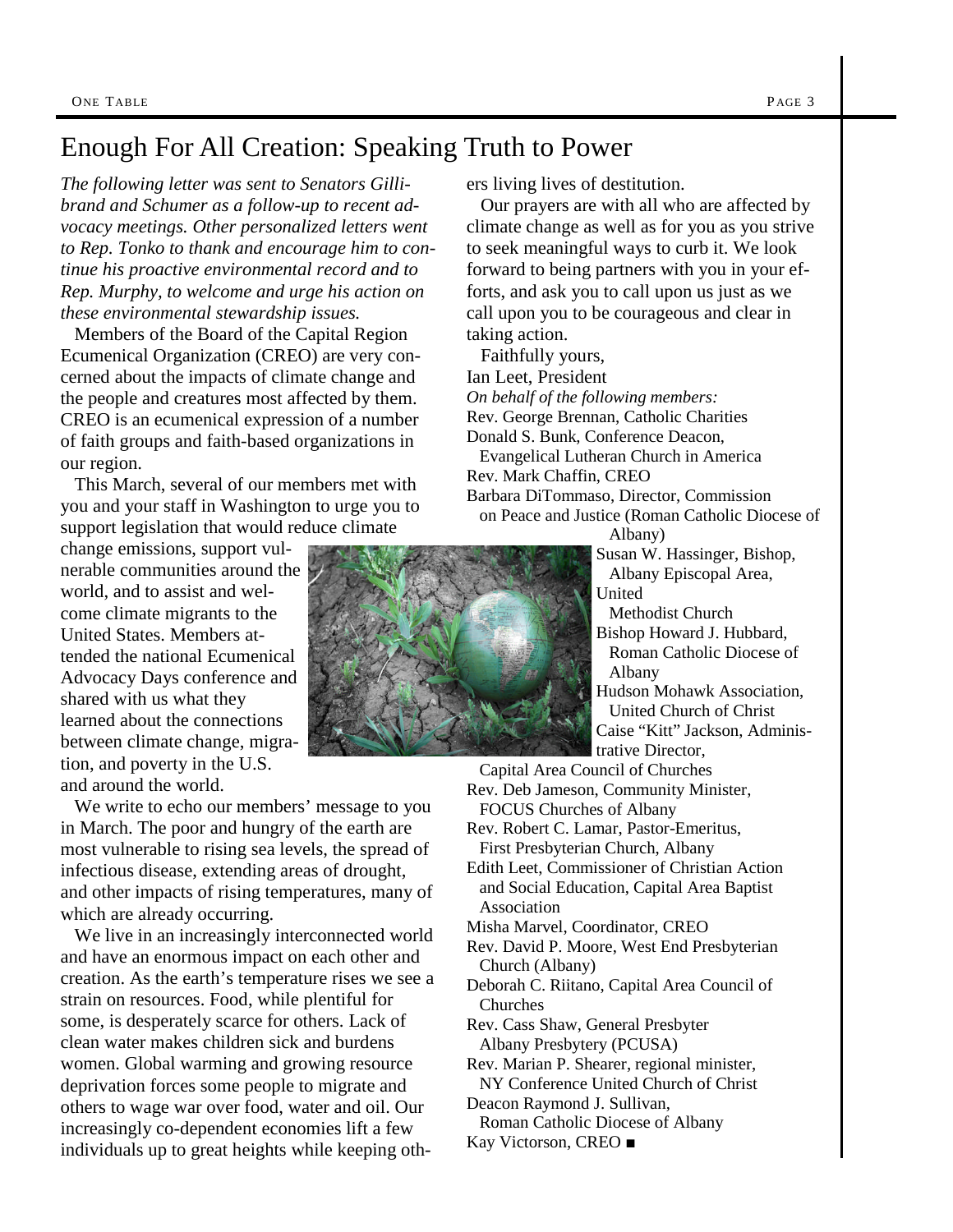### Enough For All Creation: Speaking Truth to Power

*The following letter was sent to Senators Gillibrand and Schumer as a follow-up to recent advocacy meetings. Other personalized letters went to Rep. Tonko to thank and encourage him to continue his proactive environmental record and to Rep. Murphy, to welcome and urge his action on these environmental stewardship issues.*

Members of the Board of the Capital Region Ecumenical Organization (CREO) are very concerned about the impacts of climate change and the people and creatures most affected by them. CREO is an ecumenical expression of a number of faith groups and faith-based organizations in our region.

This March, several of our members met with you and your staff in Washington to urge you to support legislation that would reduce climate

change emissions, support vulnerable communities around the world, and to assist and welcome climate migrants to the United States. Members attended the national Ecumenical Advocacy Days conference and shared with us what they learned about the connections between climate change, migration, and poverty in the U.S. and around the world.

We write to echo our members' message to you in March. The poor and hungry of the earth are most vulnerable to rising sea levels, the spread of infectious disease, extending areas of drought, and other impacts of rising temperatures, many of which are already occurring.

We live in an increasingly interconnected world and have an enormous impact on each other and creation. As the earth's temperature rises we see a strain on resources. Food, while plentiful for some, is desperately scarce for others. Lack of clean water makes children sick and burdens women. Global warming and growing resource deprivation forces some people to migrate and others to wage war over food, water and oil. Our increasingly co-dependent economies lift a few individuals up to great heights while keeping others living lives of destitution.

Our prayers are with all who are affected by climate change as well as for you as you strive to seek meaningful ways to curb it. We look forward to being partners with you in your efforts, and ask you to call upon us just as we call upon you to be courageous and clear in taking action.

Faithfully yours,

Ian Leet, President *On behalf of the following members:* Rev. George Brennan, Catholic Charities Donald S. Bunk, Conference Deacon, Evangelical Lutheran Church in America Rev. Mark Chaffin, CREO Barbara DiTommaso, Director, Commission on Peace and Justice (Roman Catholic Diocese of Albany)

Susan W. Hassinger, Bishop, Albany Episcopal Area, United Methodist Church Bishop Howard J. Hubbard, Roman Catholic Diocese of

Albany

Hudson Mohawk Association, United Church of Christ Caise "Kitt" Jackson, Administrative Director,

Capital Area Council of Churches Rev. Deb Jameson, Community Minister, FOCUS Churches of Albany Rev. Robert C. Lamar, Pastor-Emeritus, First Presbyterian Church, Albany Edith Leet, Commissioner of Christian Action and Social Education, Capital Area Baptist Association Misha Marvel, Coordinator, CREO Rev. David P. Moore, West End Presbyterian Church (Albany) Deborah C. Riitano, Capital Area Council of Churches Rev. Cass Shaw, General Presbyter Albany Presbytery (PCUSA) Rev. Marian P. Shearer, regional minister, NY Conference United Church of Christ Deacon Raymond J. Sullivan, Roman Catholic Diocese of Albany Kay Victorson, CREO *■*

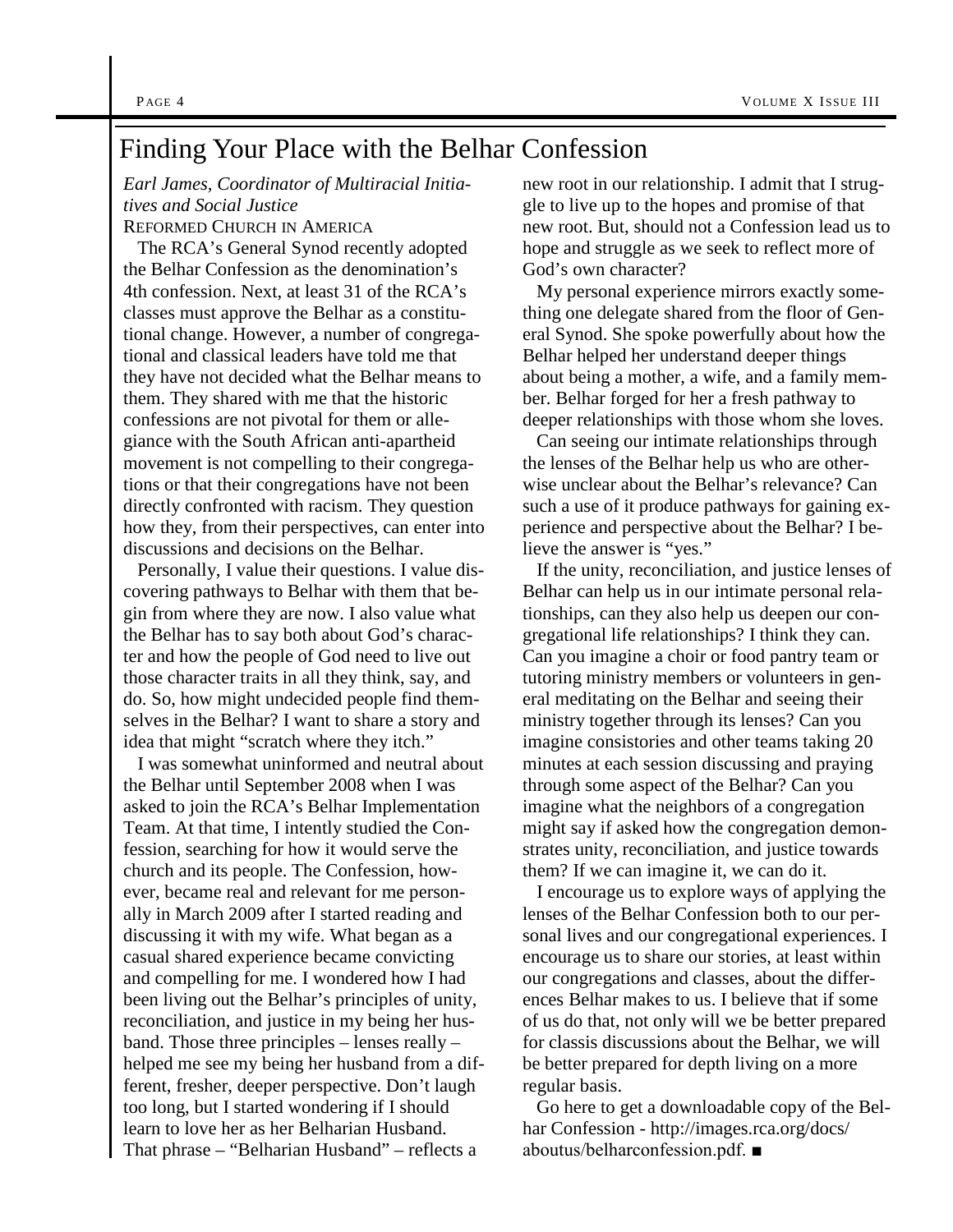### Finding Your Place with the Belhar Confession

*Earl James, Coordinator of Multiracial Initiatives and Social Justice* REFORMED CHURCH IN AMERICA

The RCA's General Synod recently adopted the Belhar Confession as the denomination's 4th confession. Next, at least 31 of the RCA's classes must approve the Belhar as a constitutional change. However, a number of congregational and classical leaders have told me that they have not decided what the Belhar means to them. They shared with me that the historic confessions are not pivotal for them or allegiance with the South African anti-apartheid movement is not compelling to their congregations or that their congregations have not been directly confronted with racism. They question how they, from their perspectives, can enter into discussions and decisions on the Belhar.

Personally, I value their questions. I value discovering pathways to Belhar with them that begin from where they are now. I also value what the Belhar has to say both about God's character and how the people of God need to live out those character traits in all they think, say, and do. So, how might undecided people find themselves in the Belhar? I want to share a story and idea that might "scratch where they itch."

I was somewhat uninformed and neutral about the Belhar until September 2008 when I was asked to join the RCA's Belhar Implementation Team. At that time, I intently studied the Confession, searching for how it would serve the church and its people. The Confession, however, became real and relevant for me personally in March 2009 after I started reading and discussing it with my wife. What began as a casual shared experience became convicting and compelling for me. I wondered how I had been living out the Belhar's principles of unity, reconciliation, and justice in my being her husband. Those three principles – lenses really – helped me see my being her husband from a different, fresher, deeper perspective. Don't laugh too long, but I started wondering if I should learn to love her as her Belharian Husband. That phrase – "Belharian Husband" – reflects a

new root in our relationship. I admit that I struggle to live up to the hopes and promise of that new root. But, should not a Confession lead us to hope and struggle as we seek to reflect more of God's own character?

My personal experience mirrors exactly something one delegate shared from the floor of General Synod. She spoke powerfully about how the Belhar helped her understand deeper things about being a mother, a wife, and a family member. Belhar forged for her a fresh pathway to deeper relationships with those whom she loves.

Can seeing our intimate relationships through the lenses of the Belhar help us who are otherwise unclear about the Belhar's relevance? Can such a use of it produce pathways for gaining experience and perspective about the Belhar? I believe the answer is "yes."

If the unity, reconciliation, and justice lenses of Belhar can help us in our intimate personal relationships, can they also help us deepen our congregational life relationships? I think they can. Can you imagine a choir or food pantry team or tutoring ministry members or volunteers in general meditating on the Belhar and seeing their ministry together through its lenses? Can you imagine consistories and other teams taking 20 minutes at each session discussing and praying through some aspect of the Belhar? Can you imagine what the neighbors of a congregation might say if asked how the congregation demonstrates unity, reconciliation, and justice towards them? If we can imagine it, we can do it.

I encourage us to explore ways of applying the lenses of the Belhar Confession both to our personal lives and our congregational experiences. I encourage us to share our stories, at least within our congregations and classes, about the differences Belhar makes to us. I believe that if some of us do that, not only will we be better prepared for classis discussions about the Belhar, we will be better prepared for depth living on a more regular basis.

Go here to get a downloadable copy of the Belhar Confession - http://images.rca.org/docs/ aboutus/belharconfession.pdf. ■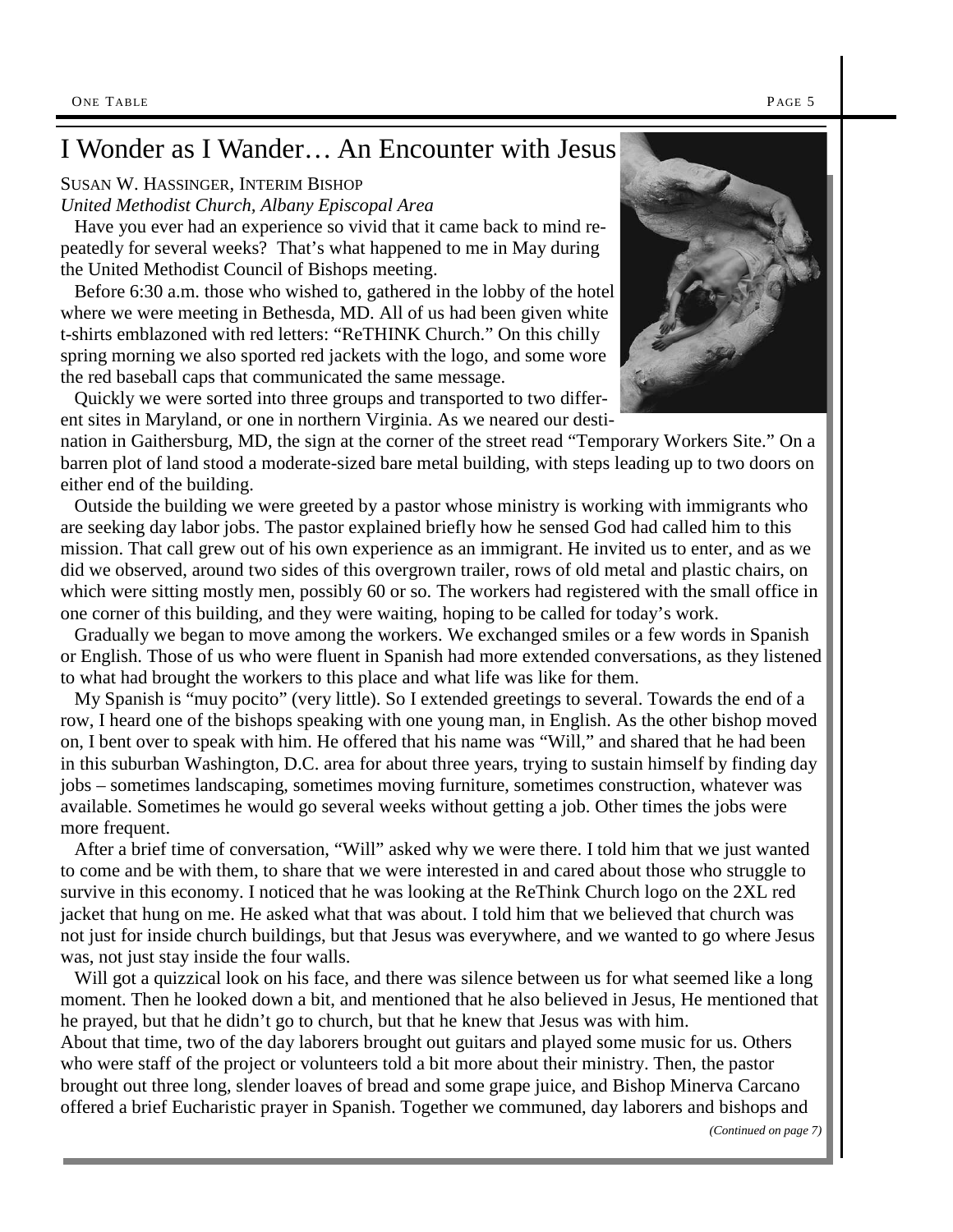### I Wonder as I Wander… An Encounter with Jesus

#### SUSAN W. HASSINGER, INTERIM BISHOP

*United Methodist Church, Albany Episcopal Area*

Have you ever had an experience so vivid that it came back to mind repeatedly for several weeks? That's what happened to me in May during the United Methodist Council of Bishops meeting.

Before 6:30 a.m. those who wished to, gathered in the lobby of the hotel where we were meeting in Bethesda, MD. All of us had been given white t-shirts emblazoned with red letters: "ReTHINK Church." On this chilly spring morning we also sported red jackets with the logo, and some wore the red baseball caps that communicated the same message.

Quickly we were sorted into three groups and transported to two different sites in Maryland, or one in northern Virginia. As we neared our desti-

nation in Gaithersburg, MD, the sign at the corner of the street read "Temporary Workers Site." On a barren plot of land stood a moderate-sized bare metal building, with steps leading up to two doors on either end of the building.

Outside the building we were greeted by a pastor whose ministry is working with immigrants who are seeking day labor jobs. The pastor explained briefly how he sensed God had called him to this mission. That call grew out of his own experience as an immigrant. He invited us to enter, and as we did we observed, around two sides of this overgrown trailer, rows of old metal and plastic chairs, on which were sitting mostly men, possibly 60 or so. The workers had registered with the small office in one corner of this building, and they were waiting, hoping to be called for today's work.

Gradually we began to move among the workers. We exchanged smiles or a few words in Spanish or English. Those of us who were fluent in Spanish had more extended conversations, as they listened to what had brought the workers to this place and what life was like for them.

My Spanish is "muy pocito" (very little). So I extended greetings to several. Towards the end of a row, I heard one of the bishops speaking with one young man, in English. As the other bishop moved on, I bent over to speak with him. He offered that his name was "Will," and shared that he had been in this suburban Washington, D.C. area for about three years, trying to sustain himself by finding day jobs – sometimes landscaping, sometimes moving furniture, sometimes construction, whatever was available. Sometimes he would go several weeks without getting a job. Other times the jobs were more frequent.

After a brief time of conversation, "Will" asked why we were there. I told him that we just wanted to come and be with them, to share that we were interested in and cared about those who struggle to survive in this economy. I noticed that he was looking at the ReThink Church logo on the 2XL red jacket that hung on me. He asked what that was about. I told him that we believed that church was not just for inside church buildings, but that Jesus was everywhere, and we wanted to go where Jesus was, not just stay inside the four walls.

Will got a quizzical look on his face, and there was silence between us for what seemed like a long moment. Then he looked down a bit, and mentioned that he also believed in Jesus, He mentioned that he prayed, but that he didn't go to church, but that he knew that Jesus was with him.

About that time, two of the day laborers brought out guitars and played some music for us. Others who were staff of the project or volunteers told a bit more about their ministry. Then, the pastor brought out three long, slender loaves of bread and some grape juice, and Bishop Minerva Carcano offered a brief Eucharistic prayer in Spanish. Together we communed, day laborers and bishops and

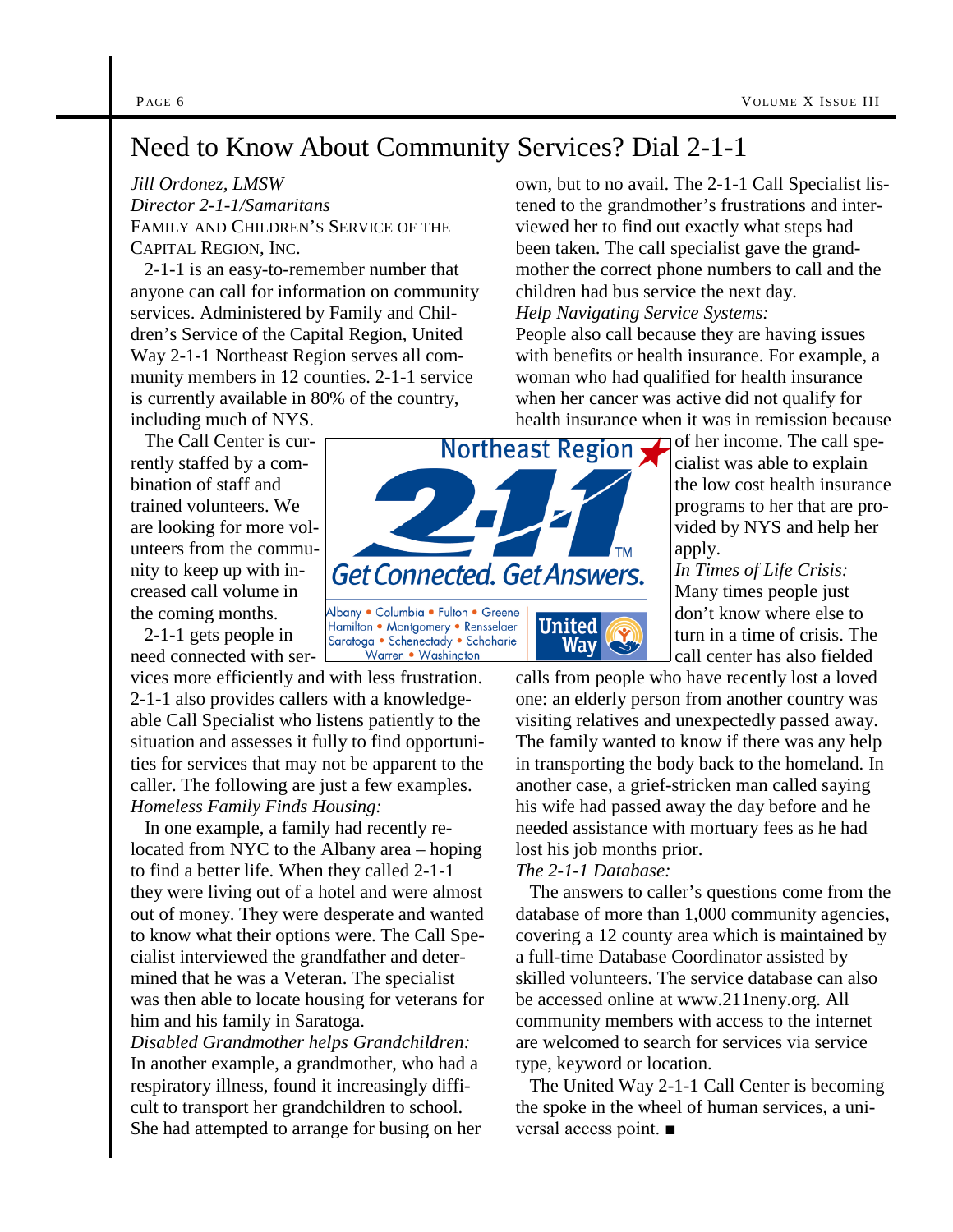### Need to Know About Community Services? Dial 2-1-1

#### *Jill Ordonez, LMSW*

*Director 2-1-1/Samaritans* FAMILY AND CHILDREN'S SERVICE OF THE CAPITAL REGION, INC.

2-1-1 is an easy-to-remember number that anyone can call for information on community services. Administered by Family and Children's Service of the Capital Region, United Way 2-1-1 Northeast Region serves all community members in 12 counties. 2-1-1 service is currently available in 80% of the country,

including much of NYS.

The Call Center is currently staffed by a combination of staff and trained volunteers. We are looking for more volunteers from the commucreased call volume in the coming months.

2-1-1 gets people in need connected with ser-

vices more efficiently and with less frustration. 2-1-1 also provides callers with a knowledgeable Call Specialist who listens patiently to the situation and assesses it fully to find opportunities for services that may not be apparent to the caller. The following are just a few examples. *Homeless Family Finds Housing:*

In one example, a family had recently relocated from NYC to the Albany area – hoping to find a better life. When they called 2-1-1 they were living out of a hotel and were almost out of money. They were desperate and wanted to know what their options were. The Call Specialist interviewed the grandfather and determined that he was a Veteran. The specialist was then able to locate housing for veterans for him and his family in Saratoga.

*Disabled Grandmother helps Grandchildren:* In another example, a grandmother, who had a respiratory illness, found it increasingly difficult to transport her grandchildren to school. She had attempted to arrange for busing on her



Warren • Washinaton

own, but to no avail. The 2-1-1 Call Specialist listened to the grandmother's frustrations and interviewed her to find out exactly what steps had been taken. The call specialist gave the grandmother the correct phone numbers to call and the children had bus service the next day.

*Help Navigating Service Systems:*

People also call because they are having issues with benefits or health insurance. For example, a woman who had qualified for health insurance when her cancer was active did not qualify for health insurance when it was in remission because

of her income. The call specialist was able to explain the low cost health insurance programs to her that are provided by NYS and help her apply.

*In Times of Life Crisis:* Many times people just don't know where else to turn in a time of crisis. The call center has also fielded

calls from people who have recently lost a loved one: an elderly person from another country was visiting relatives and unexpectedly passed away. The family wanted to know if there was any help in transporting the body back to the homeland. In another case, a grief-stricken man called saying his wife had passed away the day before and he needed assistance with mortuary fees as he had lost his job months prior.

#### *The 2-1-1 Database:*

The answers to caller's questions come from the database of more than 1,000 community agencies, covering a 12 county area which is maintained by a full-time Database Coordinator assisted by skilled volunteers. The service database can also be accessed online at www.211neny.org. All community members with access to the internet are welcomed to search for services via service type, keyword or location.

The United Way 2-1-1 Call Center is becoming the spoke in the wheel of human services, a universal access point. ■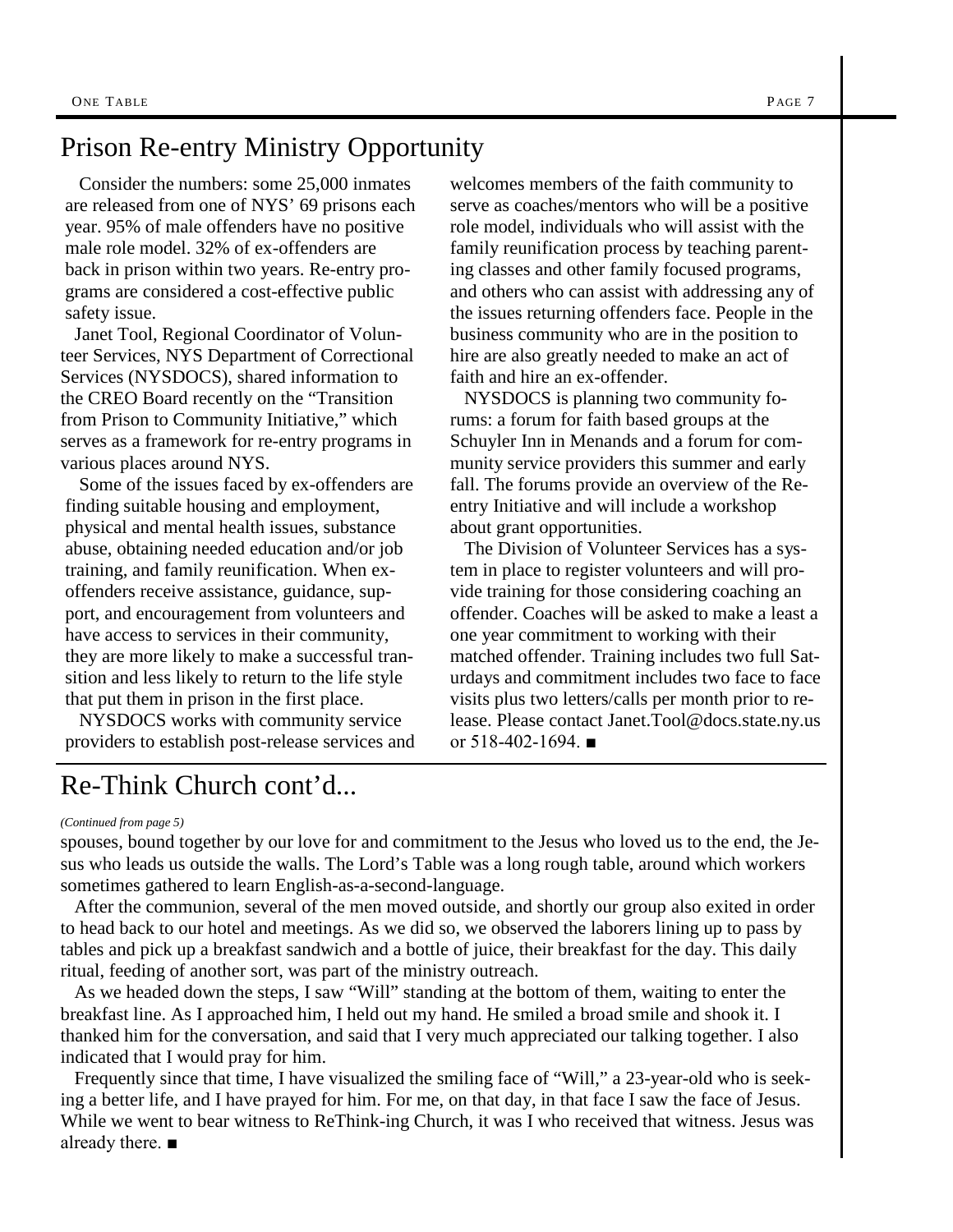### Prison Re-entry Ministry Opportunity

Consider the numbers: some 25,000 inmates are released from one of NYS' 69 prisons each year. 95% of male offenders have no positive male role model. 32% of ex-offenders are back in prison within two years. Re-entry programs are considered a cost-effective public safety issue.

Janet Tool, Regional Coordinator of Volunteer Services, NYS Department of Correctional Services (NYSDOCS), shared information to the CREO Board recently on the "Transition from Prison to Community Initiative," which serves as a framework for re-entry programs in various places around NYS.

Some of the issues faced by ex-offenders are finding suitable housing and employment, physical and mental health issues, substance abuse, obtaining needed education and/or job training, and family reunification. When exoffenders receive assistance, guidance, support, and encouragement from volunteers and have access to services in their community, they are more likely to make a successful transition and less likely to return to the life style that put them in prison in the first place.

NYSDOCS works with community service providers to establish post-release services and

welcomes members of the faith community to serve as coaches/mentors who will be a positive role model, individuals who will assist with the family reunification process by teaching parenting classes and other family focused programs, and others who can assist with addressing any of the issues returning offenders face. People in the business community who are in the position to hire are also greatly needed to make an act of faith and hire an ex-offender.

NYSDOCS is planning two community forums: a forum for faith based groups at the Schuyler Inn in Menands and a forum for community service providers this summer and early fall. The forums provide an overview of the Reentry Initiative and will include a workshop about grant opportunities.

The Division of Volunteer Services has a system in place to register volunteers and will provide training for those considering coaching an offender. Coaches will be asked to make a least a one year commitment to working with their matched offender. Training includes two full Saturdays and commitment includes two face to face visits plus two letters/calls per month prior to release. Please contact Janet.Tool@docs.state.ny.us or  $518-402-1694$ . ■

### Re-Think Church cont'd...

#### *(Continued from page 5)*

spouses, bound together by our love for and commitment to the Jesus who loved us to the end, the Jesus who leads us outside the walls. The Lord's Table was a long rough table, around which workers sometimes gathered to learn English-as-a-second-language.

After the communion, several of the men moved outside, and shortly our group also exited in order to head back to our hotel and meetings. As we did so, we observed the laborers lining up to pass by tables and pick up a breakfast sandwich and a bottle of juice, their breakfast for the day. This daily ritual, feeding of another sort, was part of the ministry outreach.

As we headed down the steps, I saw "Will" standing at the bottom of them, waiting to enter the breakfast line. As I approached him, I held out my hand. He smiled a broad smile and shook it. I thanked him for the conversation, and said that I very much appreciated our talking together. I also indicated that I would pray for him.

Frequently since that time, I have visualized the smiling face of "Will," a 23-year-old who is seeking a better life, and I have prayed for him. For me, on that day, in that face I saw the face of Jesus. While we went to bear witness to ReThink-ing Church, it was I who received that witness. Jesus was already there. ■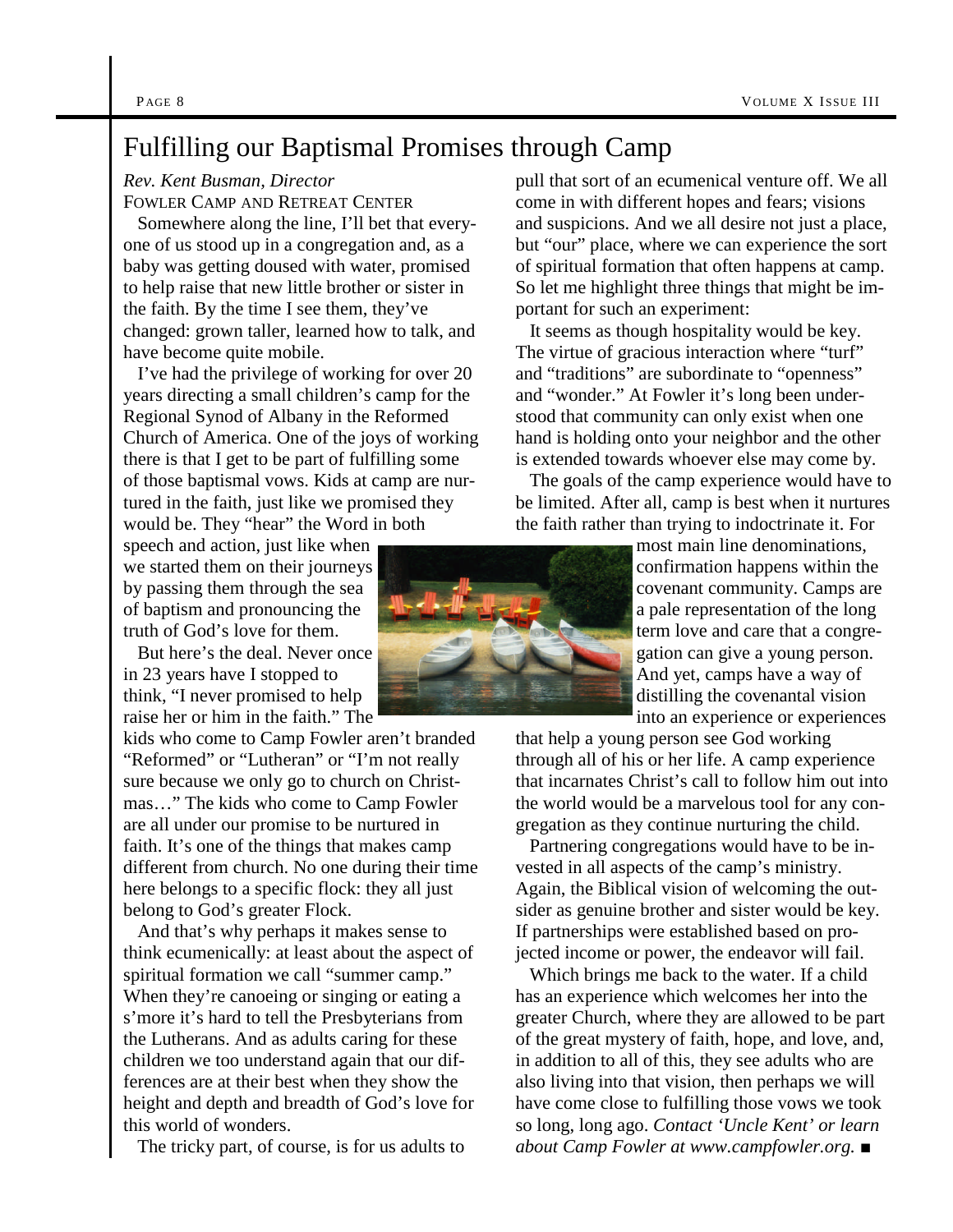### Fulfilling our Baptismal Promises through Camp

#### *Rev. Kent Busman, Director*

FOWLER CAMP AND RETREAT CENTER

Somewhere along the line, I'll bet that everyone of us stood up in a congregation and, as a baby was getting doused with water, promised to help raise that new little brother or sister in the faith. By the time I see them, they've changed: grown taller, learned how to talk, and have become quite mobile.

I've had the privilege of working for over 20 years directing a small children's camp for the Regional Synod of Albany in the Reformed Church of America. One of the joys of working there is that I get to be part of fulfilling some of those baptismal vows. Kids at camp are nurtured in the faith, just like we promised they would be. They "hear" the Word in both

speech and action, just like when we started them on their journeys by passing them through the sea of baptism and pronouncing the truth of God's love for them.

But here's the deal. Never once in 23 years have I stopped to think, "I never promised to help raise her or him in the faith." The

kids who come to Camp Fowler aren't branded "Reformed" or "Lutheran" or "I'm not really sure because we only go to church on Christmas…" The kids who come to Camp Fowler are all under our promise to be nurtured in faith. It's one of the things that makes camp different from church. No one during their time here belongs to a specific flock: they all just belong to God's greater Flock.

And that's why perhaps it makes sense to think ecumenically: at least about the aspect of spiritual formation we call "summer camp." When they're canoeing or singing or eating a s'more it's hard to tell the Presbyterians from the Lutherans. And as adults caring for these children we too understand again that our differences are at their best when they show the height and depth and breadth of God's love for this world of wonders.

The tricky part, of course, is for us adults to

pull that sort of an ecumenical venture off. We all come in with different hopes and fears; visions and suspicions. And we all desire not just a place, but "our" place, where we can experience the sort of spiritual formation that often happens at camp. So let me highlight three things that might be important for such an experiment:

It seems as though hospitality would be key. The virtue of gracious interaction where "turf" and "traditions" are subordinate to "openness" and "wonder." At Fowler it's long been understood that community can only exist when one hand is holding onto your neighbor and the other is extended towards whoever else may come by.

The goals of the camp experience would have to be limited. After all, camp is best when it nurtures the faith rather than trying to indoctrinate it. For

> most main line denominations, confirmation happens within the covenant community. Camps are a pale representation of the long term love and care that a congregation can give a young person. And yet, camps have a way of distilling the covenantal vision into an experience or experiences

that help a young person see God working through all of his or her life. A camp experience that incarnates Christ's call to follow him out into the world would be a marvelous tool for any congregation as they continue nurturing the child.

Partnering congregations would have to be invested in all aspects of the camp's ministry. Again, the Biblical vision of welcoming the outsider as genuine brother and sister would be key. If partnerships were established based on projected income or power, the endeavor will fail.

Which brings me back to the water. If a child has an experience which welcomes her into the greater Church, where they are allowed to be part of the great mystery of faith, hope, and love, and, in addition to all of this, they see adults who are also living into that vision, then perhaps we will have come close to fulfilling those vows we took so long, long ago. *Contact 'Uncle Kent' or learn about Camp Fowler at www.campfowler.org.* ■

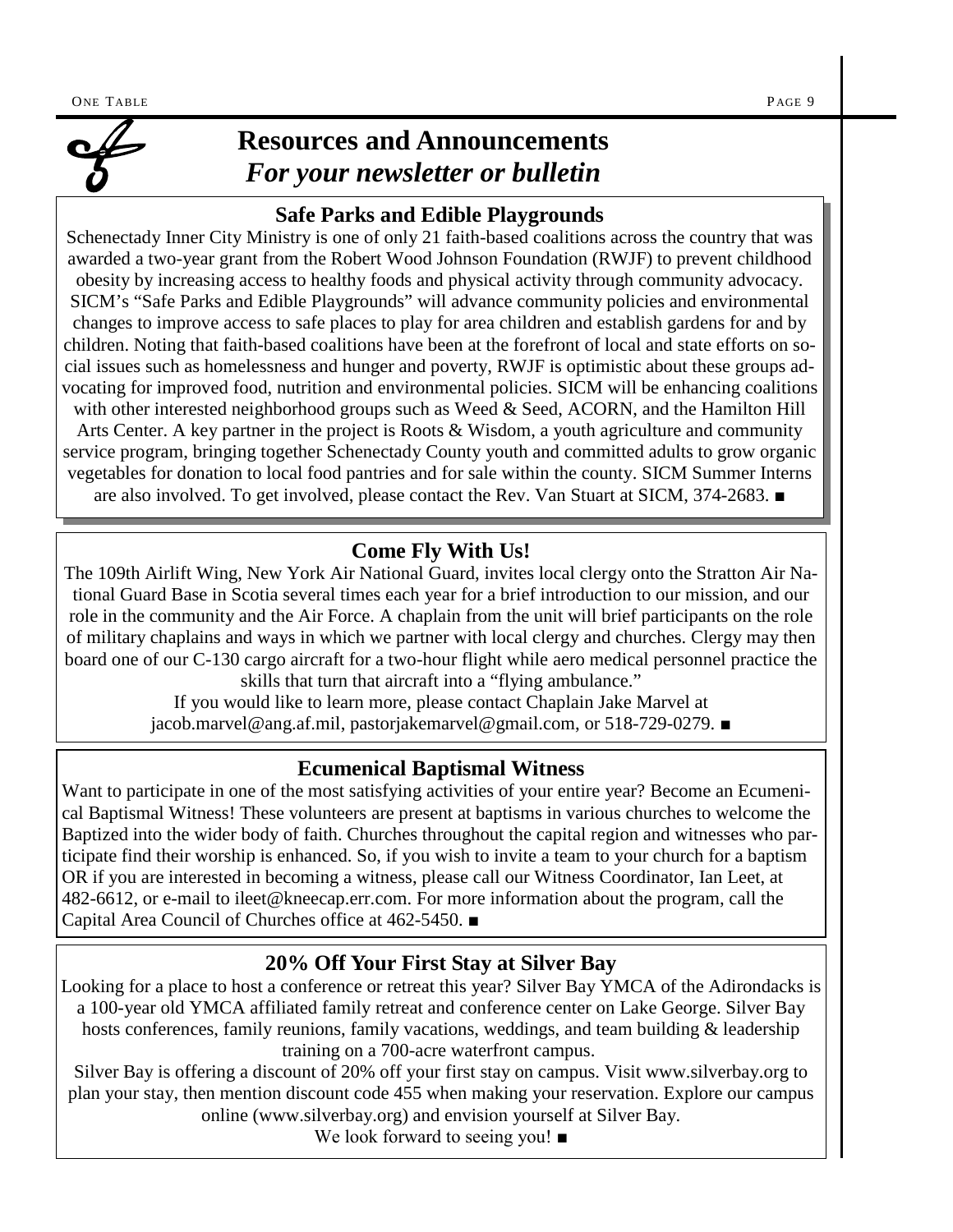

### **Resources and Announcements** *For your newsletter or bulletin*

### **Safe Parks and Edible Playgrounds**

Schenectady Inner City Ministry is one of only 21 faith-based coalitions across the country that was awarded a two-year grant from the Robert Wood Johnson Foundation (RWJF) to prevent childhood obesity by increasing access to healthy foods and physical activity through community advocacy. SICM's "Safe Parks and Edible Playgrounds" will advance community policies and environmental changes to improve access to safe places to play for area children and establish gardens for and by children. Noting that faith-based coalitions have been at the forefront of local and state efforts on social issues such as homelessness and hunger and poverty, RWJF is optimistic about these groups advocating for improved food, nutrition and environmental policies. SICM will be enhancing coalitions with other interested neighborhood groups such as Weed & Seed, ACORN, and the Hamilton Hill Arts Center. A key partner in the project is Roots & Wisdom, a youth agriculture and community service program, bringing together Schenectady County youth and committed adults to grow organic vegetables for donation to local food pantries and for sale within the county. SICM Summer Interns are also involved. To get involved, please contact the Rev. Van Stuart at SICM, 374-2683. *■*

### **Come Fly With Us!**

The 109th Airlift Wing, New York Air National Guard, invites local clergy onto the Stratton Air National Guard Base in Scotia several times each year for a brief introduction to our mission, and our role in the community and the Air Force. A chaplain from the unit will brief participants on the role of military chaplains and ways in which we partner with local clergy and churches. Clergy may then board one of our C-130 cargo aircraft for a two-hour flight while aero medical personnel practice the skills that turn that aircraft into a "flying ambulance."

If you would like to learn more, please contact Chaplain Jake Marvel at jacob.marvel@ang.af.mil, pastorjakemarvel@gmail.com, or 518-729-0279. *■*

### **Ecumenical Baptismal Witness**

Want to participate in one of the most satisfying activities of your entire year? Become an Ecumenical Baptismal Witness! These volunteers are present at baptisms in various churches to welcome the Baptized into the wider body of faith. Churches throughout the capital region and witnesses who participate find their worship is enhanced. So, if you wish to invite a team to your church for a baptism OR if you are interested in becoming a witness, please call our Witness Coordinator, Ian Leet, at 482-6612, or e-mail to ileet@kneecap.err.com. For more information about the program, call the Capital Area Council of Churches office at 462-5450. *■*

### **20% Off Your First Stay at Silver Bay**

Looking for a place to host a conference or retreat this year? Silver Bay YMCA of the Adirondacks is a 100-year old YMCA affiliated family retreat and conference center on Lake George. Silver Bay hosts conferences, family reunions, family vacations, weddings, and team building & leadership training on a 700-acre waterfront campus.

Silver Bay is offering a discount of 20% off your first stay on campus. Visit www.silverbay.org to plan your stay, then mention discount code 455 when making your reservation. Explore our campus online (www.silverbay.org) and envision yourself at Silver Bay.

We look forward to seeing you! ■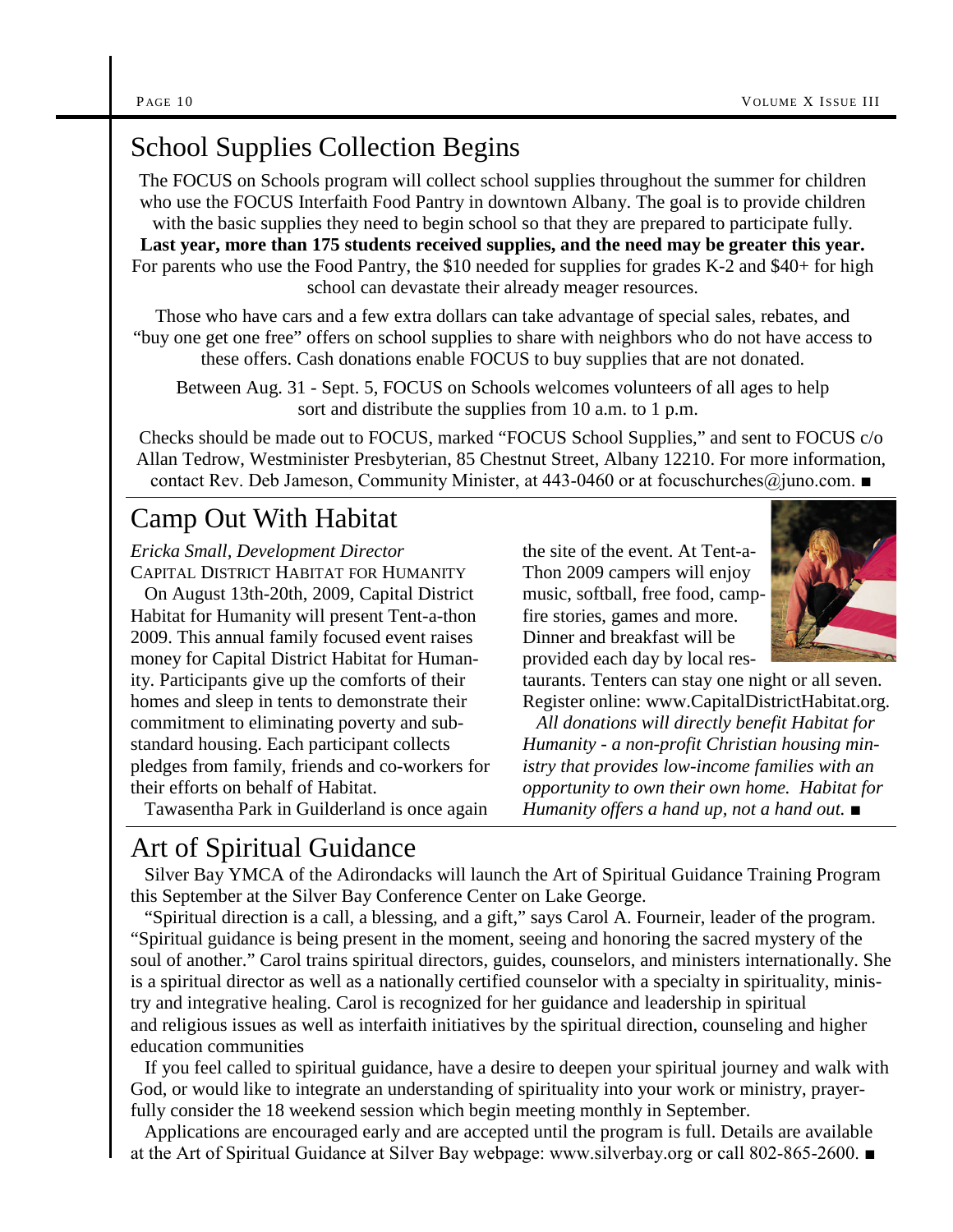### School Supplies Collection Begins

The FOCUS on Schools program will collect school supplies throughout the summer for children who use the FOCUS Interfaith Food Pantry in downtown Albany. The goal is to provide children with the basic supplies they need to begin school so that they are prepared to participate fully. **Last year, more than 175 students received supplies, and the need may be greater this year.** For parents who use the Food Pantry, the \$10 needed for supplies for grades K-2 and \$40+ for high school can devastate their already meager resources.

Those who have cars and a few extra dollars can take advantage of special sales, rebates, and "buy one get one free" offers on school supplies to share with neighbors who do not have access to these offers. Cash donations enable FOCUS to buy supplies that are not donated.

Between Aug. 31 - Sept. 5, FOCUS on Schools welcomes volunteers of all ages to help sort and distribute the supplies from 10 a.m. to 1 p.m.

Checks should be made out to FOCUS, marked "FOCUS School Supplies," and sent to FOCUS c/o Allan Tedrow, Westminister Presbyterian, 85 Chestnut Street, Albany 12210. For more information, contact Rev. Deb Jameson, Community Minister, at 443-0460 or at focuschurches@juno.com. ■

### Camp Out With Habitat

*Ericka Small, Development Director* CAPITAL DISTRICT HABITAT FOR HUMANITY

On August 13th-20th, 2009, Capital District Habitat for Humanity will present Tent-a-thon 2009. This annual family focused event raises money for Capital District Habitat for Humanity. Participants give up the comforts of their homes and sleep in tents to demonstrate their commitment to eliminating poverty and substandard housing. Each participant collects pledges from family, friends and co-workers for their efforts on behalf of Habitat.

Tawasentha Park in Guilderland is once again

the site of the event. At Tent-a-Thon 2009 campers will enjoy music, softball, free food, campfire stories, games and more. Dinner and breakfast will be provided each day by local res-



taurants. Tenters can stay one night or all seven. Register online: www.CapitalDistrictHabitat.org.

*All donations will directly benefit Habitat for Humanity - a non-profit Christian housing ministry that provides low-income families with an opportunity to own their own home. Habitat for Humanity offers a hand up, not a hand out.* ■

### Art of Spiritual Guidance

Silver Bay YMCA of the Adirondacks will launch the Art of Spiritual Guidance Training Program this September at the Silver Bay Conference Center on Lake George.

"Spiritual direction is a call, a blessing, and a gift," says Carol A. Fourneir, leader of the program. "Spiritual guidance is being present in the moment, seeing and honoring the sacred mystery of the soul of another." Carol trains spiritual directors, guides, counselors, and ministers internationally. She is a spiritual director as well as a nationally certified counselor with a specialty in spirituality, ministry and integrative healing. Carol is recognized for her guidance and leadership in spiritual and religious issues as well as interfaith initiatives by the spiritual direction, counseling and higher education communities

If you feel called to spiritual guidance, have a desire to deepen your spiritual journey and walk with God, or would like to integrate an understanding of spirituality into your work or ministry, prayerfully consider the 18 weekend session which begin meeting monthly in September.

Applications are encouraged early and are accepted until the program is full. Details are available at the Art of Spiritual Guidance at Silver Bay webpage: www.silverbay.org or call 802-865-2600. ■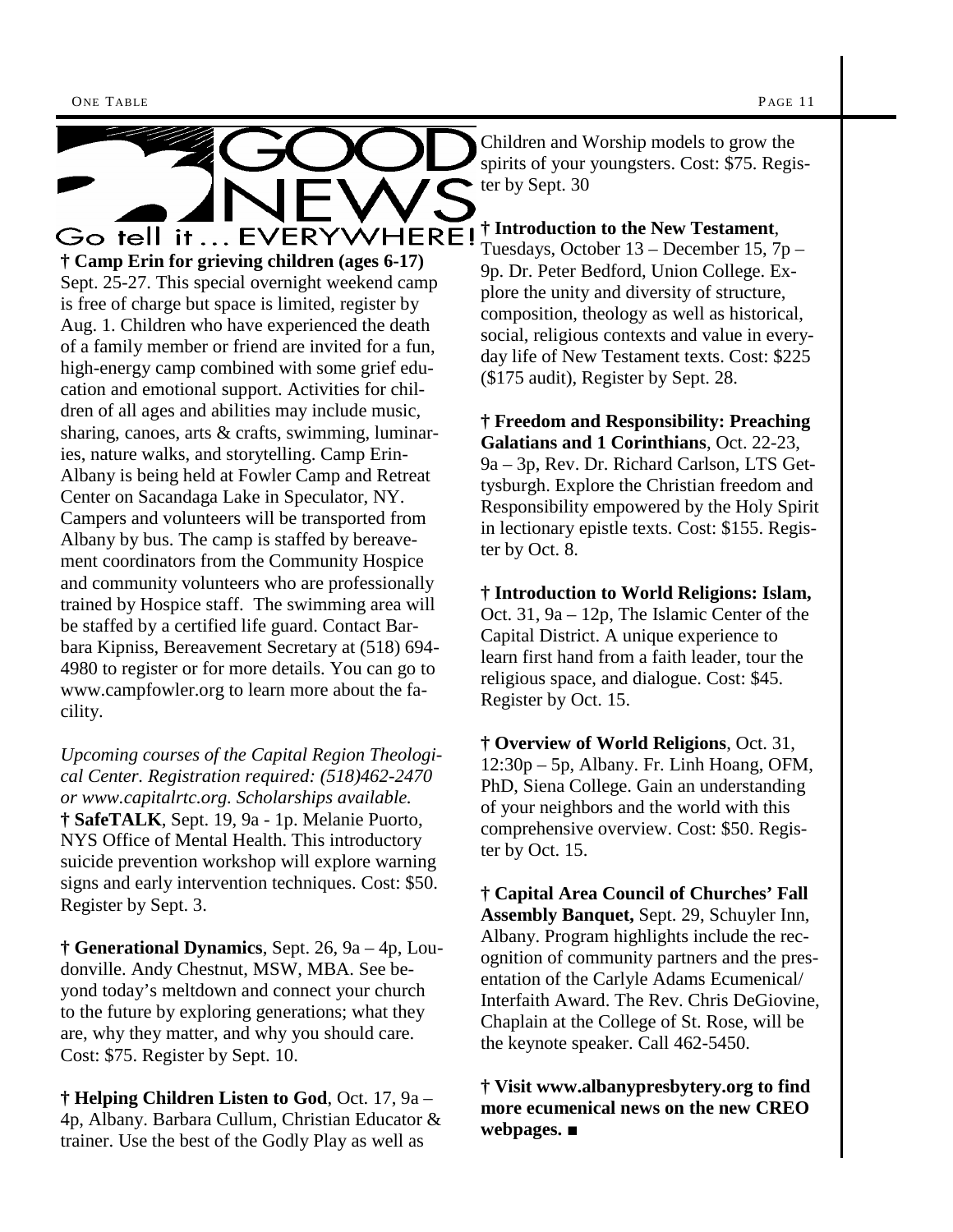

**† Camp Erin for grieving children (ages 6-17)** Sept. 25-27. This special overnight weekend camp is free of charge but space is limited, register by Aug. 1. Children who have experienced the death of a family member or friend are invited for a fun, high-energy camp combined with some grief education and emotional support. Activities for children of all ages and abilities may include music, sharing, canoes, arts & crafts, swimming, luminaries, nature walks, and storytelling. Camp Erin-Albany is being held at Fowler Camp and Retreat Center on Sacandaga Lake in Speculator, NY. Campers and volunteers will be transported from Albany by bus. The camp is staffed by bereavement coordinators from the Community Hospice and community volunteers who are professionally trained by Hospice staff. The swimming area will be staffed by a certified life guard. Contact Barbara Kipniss, Bereavement Secretary at (518) 694- 4980 to register or for more details. You can go to www.campfowler.org to learn more about the facility.

*Upcoming courses of the Capital Region Theological Center. Registration required: (518)462-2470 or www.capitalrtc.org. Scholarships available.* **† SafeTALK**, Sept. 19, 9a - 1p. Melanie Puorto, NYS Office of Mental Health. This introductory suicide prevention workshop will explore warning signs and early intervention techniques. Cost: \$50. Register by Sept. 3.

**† Generational Dynamics**, Sept. 26, 9a – 4p, Loudonville. Andy Chestnut, MSW, MBA. See beyond today's meltdown and connect your church to the future by exploring generations; what they are, why they matter, and why you should care. Cost: \$75. Register by Sept. 10.

**† Helping Children Listen to God**, Oct. 17, 9a – 4p, Albany. Barbara Cullum, Christian Educator & trainer. Use the best of the Godly Play as well as

Children and Worship models to grow the spirits of your youngsters. Cost: \$75. Register by Sept. 30

#### **† Introduction to the New Testament**,

Tuesdays, October 13 – December 15, 7p – 9p. Dr. Peter Bedford, Union College. Explore the unity and diversity of structure, composition, theology as well as historical, social, religious contexts and value in everyday life of New Testament texts. Cost: \$225 (\$175 audit), Register by Sept. 28.

**† Freedom and Responsibility: Preaching Galatians and 1 Corinthians**, Oct. 22-23, 9a – 3p, Rev. Dr. Richard Carlson, LTS Gettysburgh. Explore the Christian freedom and Responsibility empowered by the Holy Spirit in lectionary epistle texts. Cost: \$155. Register by Oct. 8.

**† Introduction to World Religions: Islam,** Oct. 31, 9a – 12p, The Islamic Center of the Capital District. A unique experience to learn first hand from a faith leader, tour the religious space, and dialogue. Cost: \$45. Register by Oct. 15.

**† Overview of World Religions**, Oct. 31, 12:30p – 5p, Albany. Fr. Linh Hoang, OFM, PhD, Siena College. Gain an understanding of your neighbors and the world with this comprehensive overview. Cost: \$50. Register by Oct. 15.

**† Capital Area Council of Churches' Fall Assembly Banquet,** Sept. 29, Schuyler Inn, Albany. Program highlights include the recognition of community partners and the presentation of the Carlyle Adams Ecumenical/ Interfaith Award. The Rev. Chris DeGiovine, Chaplain at the College of St. Rose, will be the keynote speaker. Call 462-5450.

**† Visit www.albanypresbytery.org to find more ecumenical news on the new CREO webpages.** ■